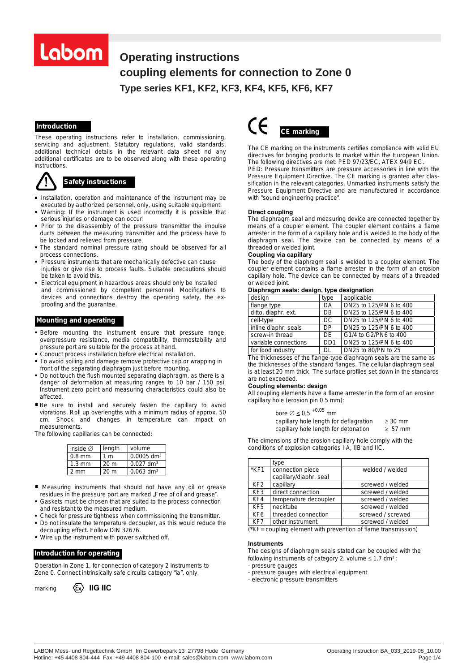# Labom

# **Operating instructions** coupling elements for connection to Zone 0 **Type series KF1, KF2, KF3, KF4, KF5, KF6, KF7 connection to Zone 0, Type KF1,-2,-3,-4,-5,-6,-7** *COUPLING ELEMENTS FOR CONNECTION TO ZONE 0*

# *Introduction*

These operating instructions refer to installation, commissioning, servicing and adjustment. Statutory regulations, valid standards, additional technical details in the relevant data sheet nd any additional certificates are to be observed along with these operating instructions.



### *Safety instructions*

- **Installation, operation and maintenance of the instrument may be** executed by authorized personnel, only, using suitable equipment.
- Warning: If the instrument is used incorrectly it is possible that serious injuries or damage can occur!
- Prior to the disassembly of the pressure transmitter the impulse ducts between the measuring transmitter and the process have to be locked and relieved from pressure.
- The standard nominal pressure rating should be observed for all process connections.
- Pressure instruments that are mechanically defective can cause injuries or give rise to process faults. Suitable precautions should be taken to avoid this.
- Electrical equipment in hazardous areas should only be installed and commissioned by competent personnel. Modifications to devices and connections destroy the operating safety, the exproofing and the guarantee.

#### *Mounting and operating*

- Before mounting the instrument ensure that pressure range, overpressure resistance, media compatibility, thermostability and pressure port are suitable for the process at hand.
- Conduct process installation before electrical installation.
- To avoid soiling and damage remove protective cap or wrapping in front of the separating diaphragm just before mounting.
- Do not touch the flush mounted separating diaphragm, as there is a danger of deformation at measuring ranges to 10 bar / 150 psi. Instrument zero point and measuring characteristics could also be affected.
- Be sure to install and securely fasten the capillary to avoid vibrations. Roll up overlengths with a minimum radius of approx. 50 cm. Shock and changes in temperature can impact on measurements.

The following capillaries can be connected:

| inside $\varnothing$ | length          | volume                   |
|----------------------|-----------------|--------------------------|
| $0.8$ mm             | 1 m             | $0.0005$ dm <sup>3</sup> |
| $1.3 \text{ mm}$     | 20 m            | $0.027$ dm <sup>3</sup>  |
| $2 \text{ mm}$       | 20 <sub>m</sub> | $0.063$ dm <sup>3</sup>  |

- Measuring instruments that should not have any oil or grease residues in the pressure port are marked "Free of oil and grease".
- Gaskets must be chosen that are suited to the process connection and resistant to the measured medium.
- Check for pressure tightness when commissioning the transmitter. Do not insulate the temperature decoupler, as this would reduce the
- decoupling effect. Follow DIN 32676. Wire up the instrument with power switched off.

# *Introduction for operating*

Operation in Zone 1, for connection of category 2 instruments to Zone 0. Connect intrinsically safe circuits category "ia", only.

marking  $\langle \xi \mathbf{x} \rangle$  **IIG IIC** 



The CE marking on the instruments certifies compliance with valid EU directives for bringing products to market within the European Union. The following directives are met: PED 97/23/EC, ATEX 94/9 EG.

PED: Pressure transmitters are pressure accessories in line with the Pressure Equipment Directive. The CE marking is granted after classification in the relevant categories. Unmarked instruments satisfy the Pressure Equipment Directive and are manufactured in accordance with "sound engineering practice".

#### **Direct coupling**

The diaphragm seal and measuring device are connected together by means of a coupler element. The coupler element contains a flame arrester in the form of a capillary hole and is welded to the body of the diaphragm seal. The device can be connected by means of a threaded or welded joint.

#### **Coupling via capillary**

The body of the diaphragm seal is welded to a coupler element. The coupler element contains a flame arrester in the form of an erosion capillary hole. The device can be connected by means of a threaded or welded joint.

|  | Diaphragm seals: design, type designation |  |  |
|--|-------------------------------------------|--|--|
|  |                                           |  |  |

| design               | type             | applicable              |
|----------------------|------------------|-------------------------|
| flange type          | DA               | DN25 to 125/PN 6 to 400 |
| ditto, diaphr. ext.  | DB               | DN25 to 125/PN 6 to 400 |
| cell-type            | DC               | DN25 to 125/PN 6 to 400 |
| inline diaphr. seals | DP               | DN25 to 125/PN 6 to 400 |
| screw-in thread      | DE               | G1/4 to G2/PN6 to 400   |
| variable connections | D <sub>D</sub> 1 | DN25 to 125/PN 6 to 400 |
| for food industry    | DL               | DN25 to 80/PN to 25     |

The thicknesses of the flange-type diaphragm seals are the same as the thicknesses of the standard flanges. The cellular diaphragm seal is at least 20 mm thick. The surface profiles set down in the standards are not exceeded.

#### **Coupling elements: design**

All coupling elements have a flame arrester in the form of an erosion capillary hole (erosion pin 0.5 mm):

| bore $\varnothing \le 0.5$ <sup>+0,05</sup> mm |           |
|------------------------------------------------|-----------|
| capillary hole length for deflagration         | $>30$ mm  |
| capillary hole length for detonation           | $> 57$ mm |

The dimensions of the erosion capillary hole comply with the conditions of explosion categories IIA, IIB and IIC.

|                 | type                                       |                   |
|-----------------|--------------------------------------------|-------------------|
| *KF1            | connection piece<br>capillary/diaphr. seal | welded / welded   |
| KF <sub>2</sub> | capillary                                  | screwed / welded  |
| KF3             | direct connection                          | screwed / welded  |
| KF4             | temperature decoupler                      | screwed / welded  |
| KF <sub>5</sub> | necktube                                   | screwed / welded  |
| KF <sub>6</sub> | threaded connection                        | screwed / screwed |
| KF7             | other instrument                           | screwed / welded  |

(\*KF= coupling element with prevention of flame transmission)

#### **Instruments**

The designs of diaphragm seals stated can be coupled with the following instruments of category 2, volume  $\leq 1.7$  dm<sup>3</sup>:

- pressure gauges

- pressure gauges with electrical equipment

- electronic pressure transmitters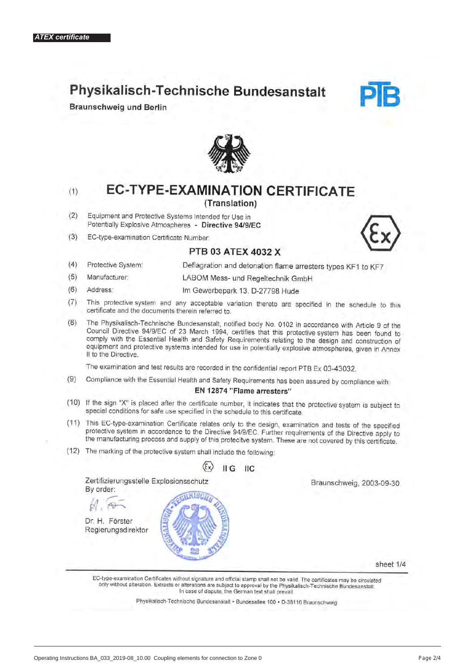# Physikalisch-Technische Bundesanstalt

**Braunschweig und Berlin** 





 $(1)$ 

# **EC-TYPE-EXAMINATION CERTIFICATE**

# (Translation)

- $(2)$ Equipment and Protective Systems Intended for Use in Potentially Explosive Atmospheres - Directive 94/9/EC
- $(3)$ EC-type-examination Certificate Number



- PTB 03 ATEX 4032 X
- $(4)$ Deflagration and detonation flame arresters types KF1 to KF7 Protective System:
- $(5)$ Manufacturer: LABOM Mess- und Regeltechnik GmbH
- $(6)$ Address: Im Gewerbepark 13, D-27798 Hude
- This protective system and any acceptable variation thereto are specified in the schedule to this  $(7)$ certificate and the documents therein referred to.
- The Physikalisch-Technische Bundesanstalt, notified body No. 0102 in accordance with Article 9 of the  $(8)$ Council Directive 94/9/EC of 23 March 1994, certifies that this protective system has been found to comply with the Essential Health and Safety Requirements relating to the design and construction of equipment and protective systems intended for use in potentially explosive atmospheres, given in Annex II to the Directive.

The examination and test results are recorded in the confidential report PTB Ex 03-43032.

 $(9)$ Compliance with the Essential Health and Safety Requirements has been assured by compliance with:

# EN 12874 "Flame arresters"

- (10) If the sign "X" is placed after the certificate number, it indicates that the protective system is subject to special conditions for safe use specified in the schedule to this certificate.
- (11) This EC-type-examination Certificate relates only to the design, examination and tests of the specified protective system in accordance to the Directive 94/9/EC. Further requirements of the Directive apply to the manufacturing process and supply of this protecitve system. These are not covered by this certificate.
- (12) The marking of the protective system shall include the following:

By order:

Dr. H. Förster Regierungsdirektor



Braunschweig, 2003-09-30

sheet 1/4

EC-type-examination Certificates without signature and official stamp shall not be valid. The certificates may be circulated only without alteration. Extracts or alterations are subject to approval by the Physikalisch-Technische Bundesanstalt. In case of dispute, the German text shall prevail.

Physikalisch-Technische Bundesanstalt · Bundesallee 100 · D-38116 Braunschweig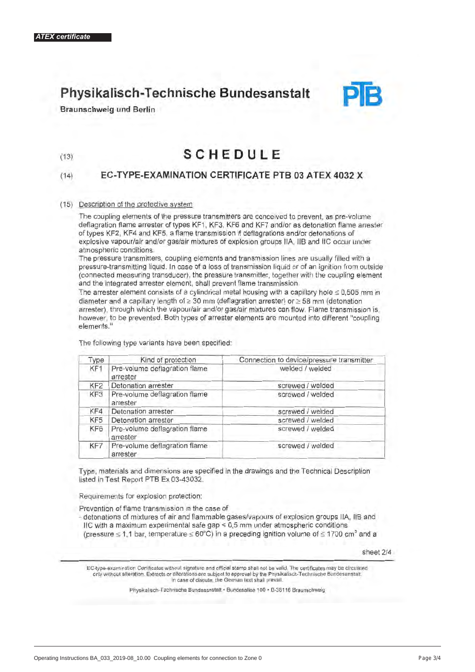$(13)$ 

# Physikalisch-Technische Bundesanstalt





# **SCHEDULE**

#### EC-TYPE-EXAMINATION CERTIFICATE PTB 03 ATEX 4032 X  $(14)$

# (15) Description of the protective system

The coupling elements of the pressure transmitters are conceived to prevent, as pre-volume deflagration flame arrester of types KF1, KF3, KF6 and KF7 and/or as detonation flame arrester of types KF2, KF4 and KF5, a flame transmission if deflagrations and/or detonations of explosive vapour/air and/or gas/air mixtures of explosion groups IIA, IIB and IIC occur under atmospheric conditions.

The pressure transmitters, coupling elements and transmission lines are usually filled with a pressure-transmitting liquid. In case of a loss of transmission liquid or of an ignition from outside (connected measuring transducer), the pressure transmitter, together with the coupling element and the integrated arrester element, shall prevent flame transmission.

The arrester element consists of a cylindrical metal housing with a capillary hole  $\leq 0.505$  mm in diameter and a capillary length of  $\geq 30$  mm (deflagration arrester) or  $\geq 58$  mm (detonation arrester), through which the vapour/air and/or gas/air mixtures can flow. Flame transmission is, however, to be prevented. Both types of arrester elements are mounted into different "coupling elements."

The following type variants have been specified:

| Type            | Kind of protection                        | Connection to device/pressure transmitter |
|-----------------|-------------------------------------------|-------------------------------------------|
| KF <sub>1</sub> | Pre-volume deflagration flame<br>arrester | welded / welded                           |
| KF <sub>2</sub> | Detonation arrester                       | screwed / welded                          |
| KF3             | Pre-volume deflagration flame<br>arrester | screwed / welded                          |
| KF4             | Detonation arrester                       | screwed / welded                          |
| KF <sub>5</sub> | Detonation arrester                       | screwed / welded                          |
| KF6             | Pre-volume deflagration flame<br>arrester | screwed / welded                          |
| KF7             | Pre-volume deflagration flame<br>arrester | screwed / welded                          |

Type, materials and dimensions are specified in the drawings and the Technical Description listed in Test Report PTB Ex 03-43032.

Requirements for explosion protection:

Prevention of flame transmission in the case of

- detonations of mixtures of air and flammable gases/vapours of explosion groups IIA, IIB and IIC with a maximum experimental safe gap < 0,5 mm under atmospheric conditions (pressure  $\leq$  1,1 bar, temperature  $\leq$  60°C) in a preceding ignition volume of  $\leq$  1700 cm<sup>3</sup> and a

sheet 2/4

EC-type-examination Certificates without signature and official stamp shall not be valid. The certificates may be circulated only without alteration. Extracts or alterations are subject to approval by the Physikalisch-Technische Bundesanstalt. In case of dispute, the German text shall prevail

Physikalisch-Technische Bundesanstalt · Bundesallee 100 · D-38116 Braunschweig